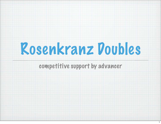

#### competitive support by advancer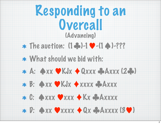## Responding to an Overcall (Advancing)

- The auction: (1♣)-1♥-(1♠)-???
- What should we bid with:



- B: ♠xx ♥KJx ♦xxxx ♣Axxx
- C: ♠xxx ♥xxx ♦Kx ♣Axxxx
- $*$   $D:$   $\bigcirc$  xxxxx  $\bigcirc$  Qx  $\bigcirc$  Axxxx (3 $\bigcirc$ )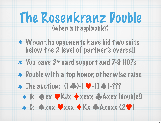## The Rosenkranz Double (when is it applicable?)

- When the opponents have bid two suits below the 2 level of partner's overcall
- You have 3+ card support and 7-9 HCPs
- \* Double with a top honor, otherwise raise
- The auction: (1♣)-1♥-(1♠)-???
	- B: ♠xx ♥KJx ♦xxxx ♣Axxx (double!)
	- C: ♠xxx ♥xxx ♦Kx ♣Axxxx (2♥)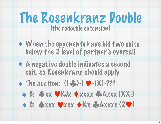#### (the redouble extension)

- When the opponents have bid two suits below the 2 level of partner's overcall
- A negative double indicates a second suit, so Rosenkranz should apply
- The auction: (1♣)-1♥-(X)-???
	- B: ♠xx ♥KJx ♦xxxx ♣Axxx (XX!) C: ♠xxx ♥xxx ♦Kx ♣Axxxx (2♥)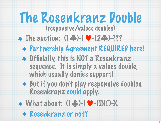(responsive/values doubles)

- The auction: (1♣)-1♥-(2♣)-???
	- Partnership Agreement REQUIRED here!
	- Officially, this is NOT a Rosenkranz sequence. It is simply a values double, which usually denies support!
	- But if you don't play responsive doubles, Rosenkranz could apply.
- What about: (1♣)-1♥-(1NT)-X
	- \* Rosenkranz or not?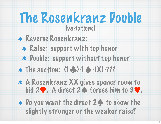### (variations)

- Reverse Rosenkranz:
	- Raise: support with top honor
	- \* Double: support without top honor
- The auction: (1♣)-1♠-(X)-???
- A Rosenkranz XX gives opener room to bid 2♥. A direct 2♠ forces him to 3♥.
- Do you want the direct 2♠ to show the slightly stronger or the weaker raise?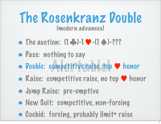#### (modern advances)

- The auction: (1♣)-1♥-(1♠)-???
- Pass: nothing to say
- Double: competitive raise, top ♥ honor Pompetitive raise, to
- \* Raise: competitive raise, no top ♥ honor



- Jump Raise: pre-emptive
- New Suit: competitive, non-forcing
- \* Cuebid: forcing, probably limit+ raise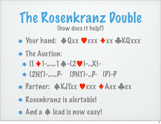## The Rosenkranz Double (how does it help?)

#### Your hand: ♠Qxx ♥xxx ♦xx ♣KQxxx

## The Auction:

- $\ast$  (1  $\bullet$ )-partner 1  $\bullet$  -(2  $\bullet$ )-youX!-
- (2NT)-partnerP- (3NT)-youP- (P)-P

## Partner: ♠KJTxx ♥xxx ♦Axx ♣xx

- Rosenkranz is alertable!
- And a ♠ lead is now easy!